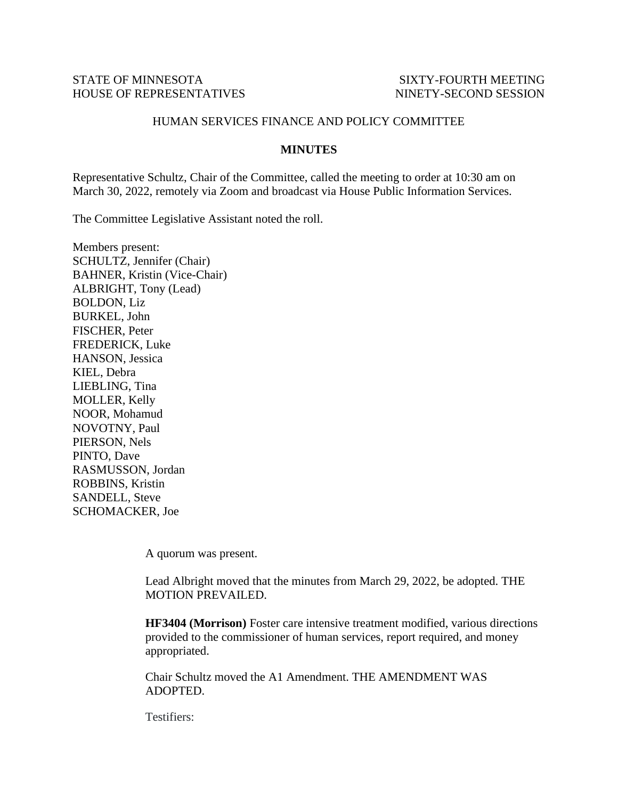## STATE OF MINNESOTA SIXTY-FOURTH MEETING HOUSE OF REPRESENTATIVES NINETY-SECOND SESSION

## HUMAN SERVICES FINANCE AND POLICY COMMITTEE

## **MINUTES**

Representative Schultz, Chair of the Committee, called the meeting to order at 10:30 am on March 30, 2022, remotely via Zoom and broadcast via House Public Information Services.

The Committee Legislative Assistant noted the roll.

Members present: SCHULTZ, Jennifer (Chair) BAHNER, Kristin (Vice-Chair) ALBRIGHT, Tony (Lead) BOLDON, Liz BURKEL, John FISCHER, Peter FREDERICK, Luke HANSON, Jessica KIEL, Debra LIEBLING, Tina MOLLER, Kelly NOOR, Mohamud NOVOTNY, Paul PIERSON, Nels PINTO, Dave RASMUSSON, Jordan ROBBINS, Kristin SANDELL, Steve SCHOMACKER, Joe

A quorum was present.

Lead Albright moved that the minutes from March 29, 2022, be adopted. THE MOTION PREVAILED.

**HF3404 (Morrison)** Foster care intensive treatment modified, various directions provided to the commissioner of human services, report required, and money appropriated.

Chair Schultz moved the A1 Amendment. THE AMENDMENT WAS ADOPTED.

Testifiers: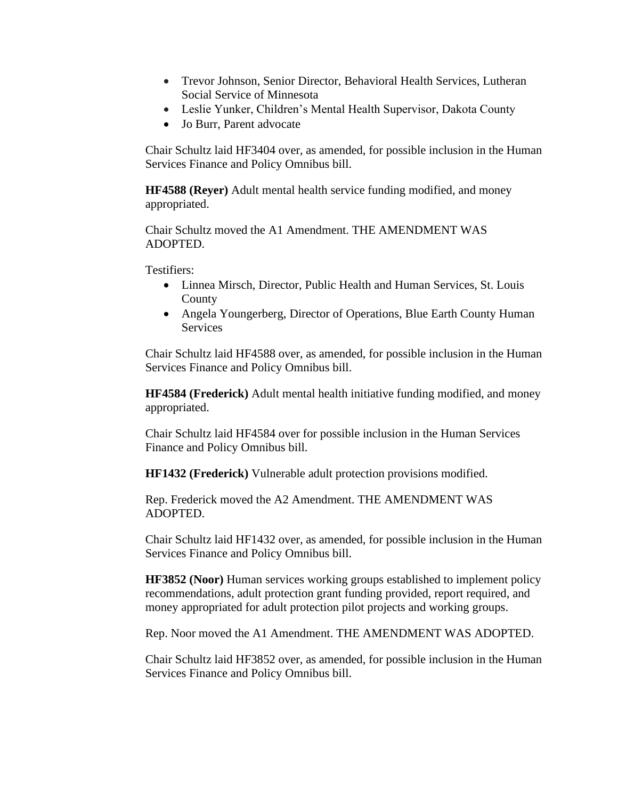- Trevor Johnson, Senior Director, Behavioral Health Services, Lutheran Social Service of Minnesota
- Leslie Yunker, Children's Mental Health Supervisor, Dakota County
- Jo Burr, Parent advocate

Chair Schultz laid HF3404 over, as amended, for possible inclusion in the Human Services Finance and Policy Omnibus bill.

**HF4588 (Reyer)** Adult mental health service funding modified, and money appropriated.

Chair Schultz moved the A1 Amendment. THE AMENDMENT WAS ADOPTED.

Testifiers:

- Linnea Mirsch, Director, Public Health and Human Services, St. Louis County
- Angela Youngerberg, Director of Operations, Blue Earth County Human **Services**

Chair Schultz laid HF4588 over, as amended, for possible inclusion in the Human Services Finance and Policy Omnibus bill.

**HF4584 (Frederick)** Adult mental health initiative funding modified, and money appropriated.

Chair Schultz laid HF4584 over for possible inclusion in the Human Services Finance and Policy Omnibus bill.

**HF1432 (Frederick)** Vulnerable adult protection provisions modified.

Rep. Frederick moved the A2 Amendment. THE AMENDMENT WAS ADOPTED.

Chair Schultz laid HF1432 over, as amended, for possible inclusion in the Human Services Finance and Policy Omnibus bill.

**HF3852 (Noor)** Human services working groups established to implement policy recommendations, adult protection grant funding provided, report required, and money appropriated for adult protection pilot projects and working groups.

Rep. Noor moved the A1 Amendment. THE AMENDMENT WAS ADOPTED.

Chair Schultz laid HF3852 over, as amended, for possible inclusion in the Human Services Finance and Policy Omnibus bill.